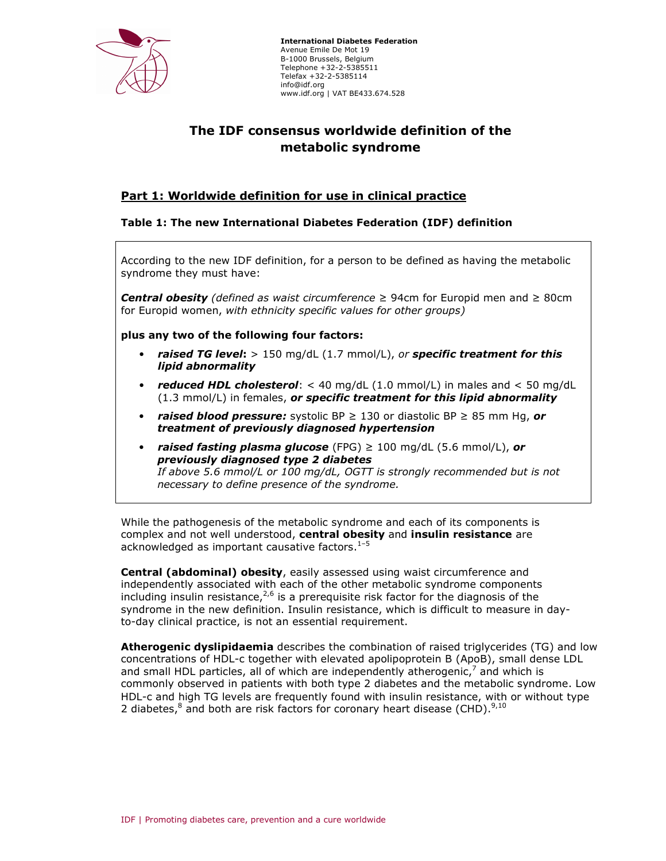

 International Diabetes Federation Avenue Emile De Mot 19 B-1000 Brussels, Belgium Telephone +32-2-5385511 Telefax +32-2-5385114 info@idf.org www.idf.org | VAT BE433.674.528

# The IDF consensus worldwide definition of the metabolic syndrome

# Part 1: Worldwide definition for use in clinical practice

# Table 1: The new International Diabetes Federation (IDF) definition

According to the new IDF definition, for a person to be defined as having the metabolic syndrome they must have:

**Central obesity** (defined as waist circumference ≥ 94cm for Europid men and ≥ 80cm for Europid women, with ethnicity specific values for other groups)

plus any two of the following four factors:

- raised TG level:  $> 150$  mg/dL (1.7 mmol/L), or specific treatment for this lipid abnormality
- reduced HDL cholesterol:  $<$  40 mg/dL (1.0 mmol/L) in males and  $<$  50 mg/dL  $(1.3 \text{ mmol/L})$  in females, or specific treatment for this lipid abnormality
- raised blood pressure: systolic BP  $\geq$  130 or diastolic BP  $\geq$  85 mm Hg, or treatment of previously diagnosed hypertension
- raised fasting plasma glucose (FPG)  $\geq 100$  mg/dL (5.6 mmol/L), or previously diagnosed type 2 diabetes If above 5.6 mmol/L or 100 mg/dL, OGTT is strongly recommended but is not necessary to define presence of the syndrome.

While the pathogenesis of the metabolic syndrome and each of its components is complex and not well understood, central obesity and insulin resistance are acknowledged as important causative factors. $1-5$ 

Central (abdominal) obesity, easily assessed using waist circumference and independently associated with each of the other metabolic syndrome components including insulin resistance,  $2,6$  is a prerequisite risk factor for the diagnosis of the syndrome in the new definition. Insulin resistance, which is difficult to measure in dayto-day clinical practice, is not an essential requirement.

Atherogenic dyslipidaemia describes the combination of raised triglycerides (TG) and low concentrations of HDL-c together with elevated apolipoprotein B (ApoB), small dense LDL and small HDL particles, all of which are independently atherogenic,<sup>7</sup> and which is commonly observed in patients with both type 2 diabetes and the metabolic syndrome. Low HDL-c and high TG levels are frequently found with insulin resistance, with or without type 2 diabetes,<sup>8</sup> and both are risk factors for coronary heart disease (CHD). $^{9,10}$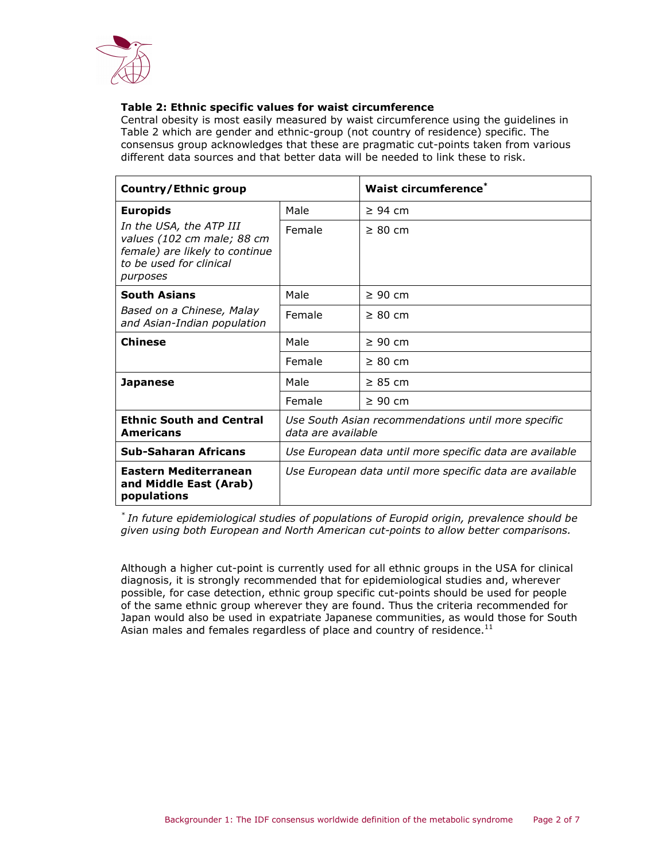

## Table 2: Ethnic specific values for waist circumference

Central obesity is most easily measured by waist circumference using the guidelines in Table 2 which are gender and ethnic-group (not country of residence) specific. The consensus group acknowledges that these are pragmatic cut-points taken from various different data sources and that better data will be needed to link these to risk.

| Country/Ethnic group                                                                                                           |                                                                           | <b>Waist circumference</b> * |
|--------------------------------------------------------------------------------------------------------------------------------|---------------------------------------------------------------------------|------------------------------|
| <b>Europids</b>                                                                                                                | Male                                                                      | $\geq$ 94 cm                 |
| In the USA, the ATP III<br>values (102 cm male; 88 cm<br>female) are likely to continue<br>to be used for clinical<br>purposes | Female                                                                    | $\geq 80$ cm                 |
| <b>South Asians</b>                                                                                                            | Male                                                                      | $\geq 90$ cm                 |
| Based on a Chinese, Malay<br>and Asian-Indian population                                                                       | Female                                                                    | $\geq 80$ cm                 |
| <b>Chinese</b>                                                                                                                 | Male                                                                      | $\geq 90$ cm                 |
|                                                                                                                                | Female                                                                    | $\geq 80$ cm                 |
| <b>Japanese</b>                                                                                                                | Male                                                                      | $\geq 85$ cm                 |
|                                                                                                                                | Female                                                                    | $\geq 90$ cm                 |
| <b>Ethnic South and Central</b><br><b>Americans</b>                                                                            | Use South Asian recommendations until more specific<br>data are available |                              |
| <b>Sub-Saharan Africans</b>                                                                                                    | Use European data until more specific data are available                  |                              |
| Eastern Mediterranean<br>and Middle East (Arab)<br>populations                                                                 | Use European data until more specific data are available                  |                              |

\* In future epidemiological studies of populations of Europid origin, prevalence should be given using both European and North American cut-points to allow better comparisons.

Although a higher cut-point is currently used for all ethnic groups in the USA for clinical diagnosis, it is strongly recommended that for epidemiological studies and, wherever possible, for case detection, ethnic group specific cut-points should be used for people of the same ethnic group wherever they are found. Thus the criteria recommended for Japan would also be used in expatriate Japanese communities, as would those for South Asian males and females regardless of place and country of residence. $^{11}$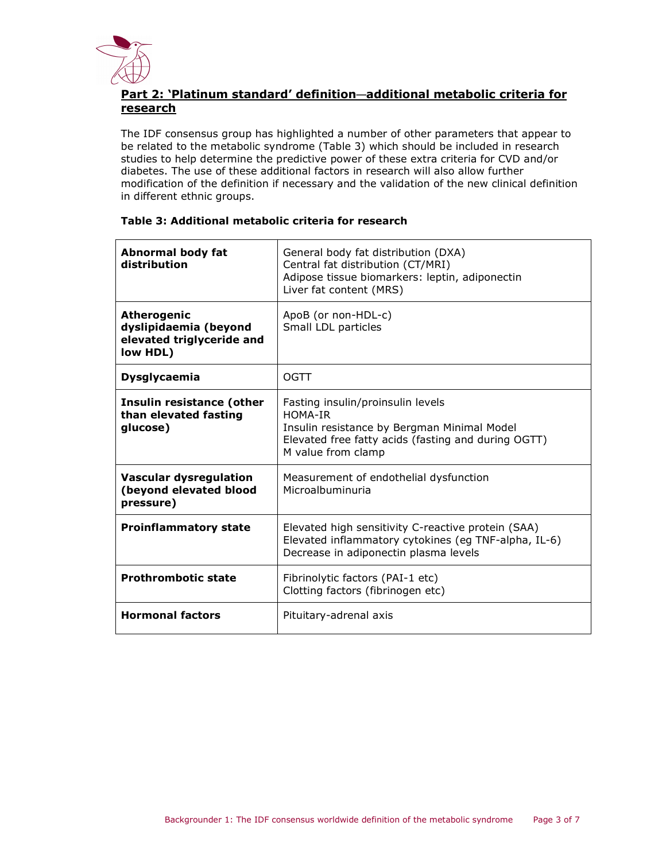

# Part 2: 'Platinum standard' definition—additional metabolic criteria for research

The IDF consensus group has highlighted a number of other parameters that appear to be related to the metabolic syndrome (Table 3) which should be included in research studies to help determine the predictive power of these extra criteria for CVD and/or diabetes. The use of these additional factors in research will also allow further modification of the definition if necessary and the validation of the new clinical definition in different ethnic groups.

| Abnormal body fat<br>distribution                                                    | General body fat distribution (DXA)<br>Central fat distribution (CT/MRI)<br>Adipose tissue biomarkers: leptin, adiponectin<br>Liver fat content (MRS)                    |  |
|--------------------------------------------------------------------------------------|--------------------------------------------------------------------------------------------------------------------------------------------------------------------------|--|
| <b>Atherogenic</b><br>dyslipidaemia (beyond<br>elevated triglyceride and<br>low HDL) | ApoB (or non-HDL-c)<br>Small LDL particles                                                                                                                               |  |
| <b>Dysglycaemia</b>                                                                  | OGTT                                                                                                                                                                     |  |
| Insulin resistance (other<br>than elevated fasting<br>glucose)                       | Fasting insulin/proinsulin levels<br>HOMA-TR<br>Insulin resistance by Bergman Minimal Model<br>Elevated free fatty acids (fasting and during OGTT)<br>M value from clamp |  |
| <b>Vascular dysregulation</b><br>(beyond elevated blood<br>pressure)                 | Measurement of endothelial dysfunction<br>Microalbuminuria                                                                                                               |  |
| <b>Proinflammatory state</b>                                                         | Elevated high sensitivity C-reactive protein (SAA)<br>Elevated inflammatory cytokines (eg TNF-alpha, IL-6)<br>Decrease in adiponectin plasma levels                      |  |
| <b>Prothrombotic state</b>                                                           | Fibrinolytic factors (PAI-1 etc)<br>Clotting factors (fibrinogen etc)                                                                                                    |  |
| <b>Hormonal factors</b>                                                              | Pituitary-adrenal axis                                                                                                                                                   |  |

# Table 3: Additional metabolic criteria for research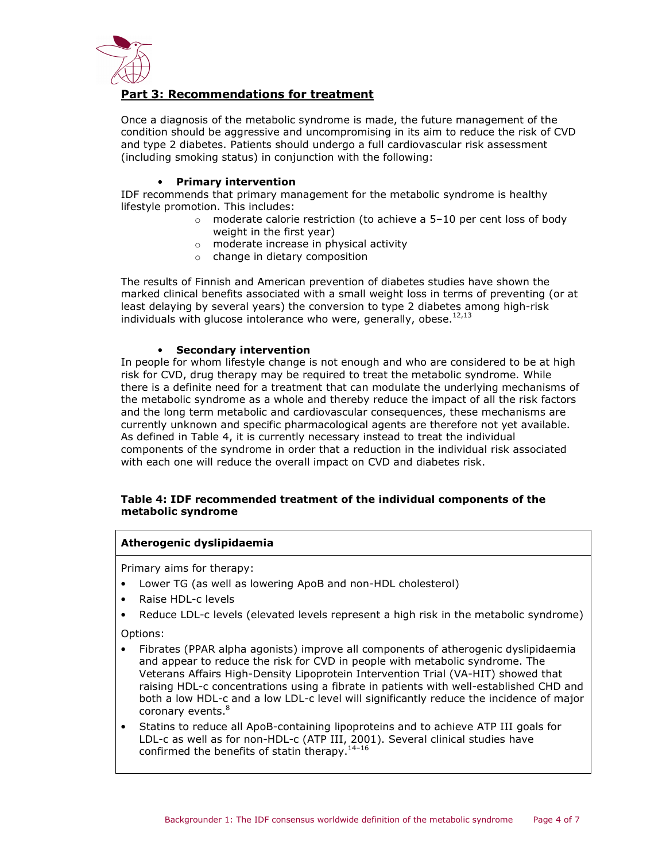

# Part 3: Recommendations for treatment

Once a diagnosis of the metabolic syndrome is made, the future management of the condition should be aggressive and uncompromising in its aim to reduce the risk of CVD and type 2 diabetes. Patients should undergo a full cardiovascular risk assessment (including smoking status) in conjunction with the following:

#### • Primary intervention

IDF recommends that primary management for the metabolic syndrome is healthy lifestyle promotion. This includes:

- $\circ$  moderate calorie restriction (to achieve a 5-10 per cent loss of body weight in the first year)
- o moderate increase in physical activity
- o change in dietary composition

The results of Finnish and American prevention of diabetes studies have shown the marked clinical benefits associated with a small weight loss in terms of preventing (or at least delaying by several years) the conversion to type 2 diabetes among high-risk individuals with glucose intolerance who were, generally, obese. $^{12,13}$ 

#### • Secondary intervention

In people for whom lifestyle change is not enough and who are considered to be at high risk for CVD, drug therapy may be required to treat the metabolic syndrome. While there is a definite need for a treatment that can modulate the underlying mechanisms of the metabolic syndrome as a whole and thereby reduce the impact of all the risk factors and the long term metabolic and cardiovascular consequences, these mechanisms are currently unknown and specific pharmacological agents are therefore not yet available. As defined in Table 4, it is currently necessary instead to treat the individual components of the syndrome in order that a reduction in the individual risk associated with each one will reduce the overall impact on CVD and diabetes risk.

## Table 4: IDF recommended treatment of the individual components of the metabolic syndrome

#### Atherogenic dyslipidaemia

Primary aims for therapy:

- Lower TG (as well as lowering ApoB and non-HDL cholesterol)
- Raise HDL-c levels
- Reduce LDL-c levels (elevated levels represent a high risk in the metabolic syndrome)

Options:

- Fibrates (PPAR alpha agonists) improve all components of atherogenic dyslipidaemia and appear to reduce the risk for CVD in people with metabolic syndrome. The Veterans Affairs High-Density Lipoprotein Intervention Trial (VA-HIT) showed that raising HDL-c concentrations using a fibrate in patients with well-established CHD and both a low HDL-c and a low LDL-c level will significantly reduce the incidence of major coronary events.<sup>8</sup>
- Statins to reduce all ApoB-containing lipoproteins and to achieve ATP III goals for LDL-c as well as for non-HDL-c (ATP III, 2001). Several clinical studies have confirmed the benefits of statin therapy. $14-16$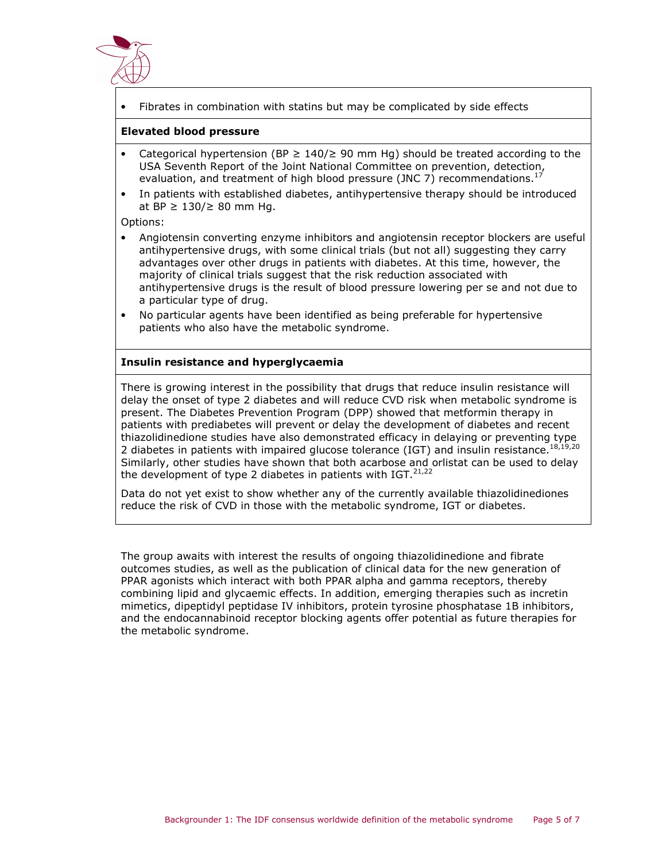

• Fibrates in combination with statins but may be complicated by side effects

## Elevated blood pressure

- Categorical hypertension (BP  $\geq$  140/ $\geq$  90 mm Hg) should be treated according to the USA Seventh Report of the Joint National Committee on prevention, detection, evaluation, and treatment of high blood pressure (JNC 7) recommendations.<sup>17</sup>
- In patients with established diabetes, antihypertensive therapy should be introduced at BP  $≥ 130/≥ 80$  mm Hq.

Options:

- Angiotensin converting enzyme inhibitors and angiotensin receptor blockers are useful antihypertensive drugs, with some clinical trials (but not all) suggesting they carry advantages over other drugs in patients with diabetes. At this time, however, the majority of clinical trials suggest that the risk reduction associated with antihypertensive drugs is the result of blood pressure lowering per se and not due to a particular type of drug.
- No particular agents have been identified as being preferable for hypertensive patients who also have the metabolic syndrome.

## Insulin resistance and hyperglycaemia

There is growing interest in the possibility that drugs that reduce insulin resistance will delay the onset of type 2 diabetes and will reduce CVD risk when metabolic syndrome is present. The Diabetes Prevention Program (DPP) showed that metformin therapy in patients with prediabetes will prevent or delay the development of diabetes and recent thiazolidinedione studies have also demonstrated efficacy in delaying or preventing type 2 diabetes in patients with impaired glucose tolerance (IGT) and insulin resistance.<sup>18,19,20</sup> Similarly, other studies have shown that both acarbose and orlistat can be used to delay the development of type 2 diabetes in patients with IGT.  $21,22$ 

Data do not yet exist to show whether any of the currently available thiazolidinediones reduce the risk of CVD in those with the metabolic syndrome, IGT or diabetes.

The group awaits with interest the results of ongoing thiazolidinedione and fibrate outcomes studies, as well as the publication of clinical data for the new generation of PPAR agonists which interact with both PPAR alpha and gamma receptors, thereby combining lipid and glycaemic effects. In addition, emerging therapies such as incretin mimetics, dipeptidyl peptidase IV inhibitors, protein tyrosine phosphatase 1B inhibitors, and the endocannabinoid receptor blocking agents offer potential as future therapies for the metabolic syndrome.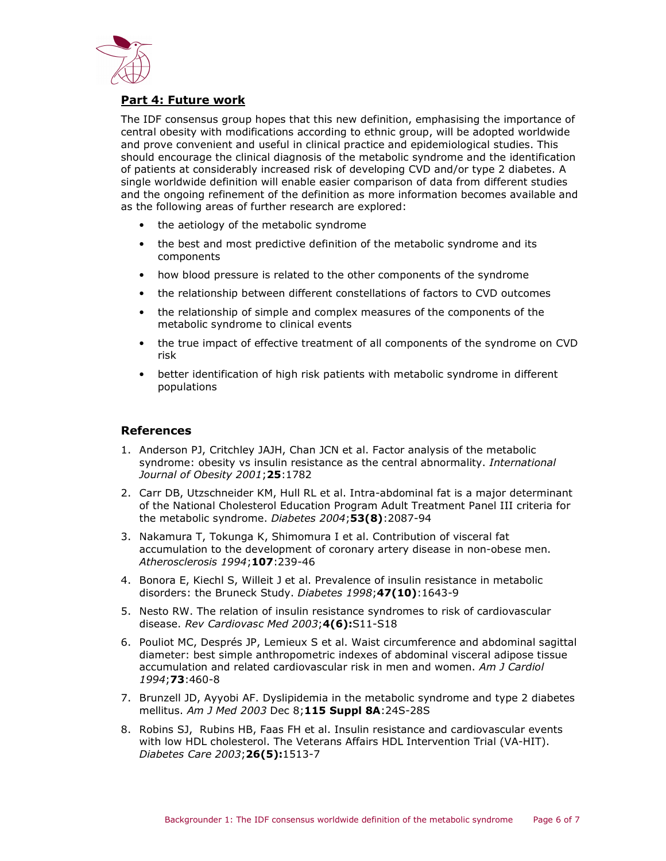

# Part 4: Future work

The IDF consensus group hopes that this new definition, emphasising the importance of central obesity with modifications according to ethnic group, will be adopted worldwide and prove convenient and useful in clinical practice and epidemiological studies. This should encourage the clinical diagnosis of the metabolic syndrome and the identification of patients at considerably increased risk of developing CVD and/or type 2 diabetes. A single worldwide definition will enable easier comparison of data from different studies and the ongoing refinement of the definition as more information becomes available and as the following areas of further research are explored:

- the aetiology of the metabolic syndrome
- the best and most predictive definition of the metabolic syndrome and its components
- how blood pressure is related to the other components of the syndrome
- the relationship between different constellations of factors to CVD outcomes
- the relationship of simple and complex measures of the components of the metabolic syndrome to clinical events
- the true impact of effective treatment of all components of the syndrome on CVD risk
- better identification of high risk patients with metabolic syndrome in different populations

## References

- 1. Anderson PJ, Critchley JAJH, Chan JCN et al. Factor analysis of the metabolic syndrome: obesity vs insulin resistance as the central abnormality. International Journal of Obesity 2001; 25:1782
- 2. Carr DB, Utzschneider KM, Hull RL et al. Intra-abdominal fat is a major determinant of the National Cholesterol Education Program Adult Treatment Panel III criteria for the metabolic syndrome. Diabetes 2004;53(8):2087-94
- 3. Nakamura T, Tokunga K, Shimomura I et al. Contribution of visceral fat accumulation to the development of coronary artery disease in non-obese men. Atherosclerosis 1994;107:239-46
- 4. Bonora E, Kiechl S, Willeit J et al. Prevalence of insulin resistance in metabolic disorders: the Bruneck Study. Diabetes 1998;47(10):1643-9
- 5. Nesto RW. The relation of insulin resistance syndromes to risk of cardiovascular disease. Rev Cardiovasc Med 2003;4(6):S11-S18
- 6. Pouliot MC, Després JP, Lemieux S et al. Waist circumference and abdominal sagittal diameter: best simple anthropometric indexes of abdominal visceral adipose tissue accumulation and related cardiovascular risk in men and women. Am J Cardiol 1994;73:460-8
- 7. Brunzell JD, Ayyobi AF. Dyslipidemia in the metabolic syndrome and type 2 diabetes mellitus. Am J Med 2003 Dec 8;115 Suppl 8A:24S-28S
- 8. Robins SJ, Rubins HB, Faas FH et al. Insulin resistance and cardiovascular events with low HDL cholesterol. The Veterans Affairs HDL Intervention Trial (VA-HIT). Diabetes Care 2003;26(5):1513-7